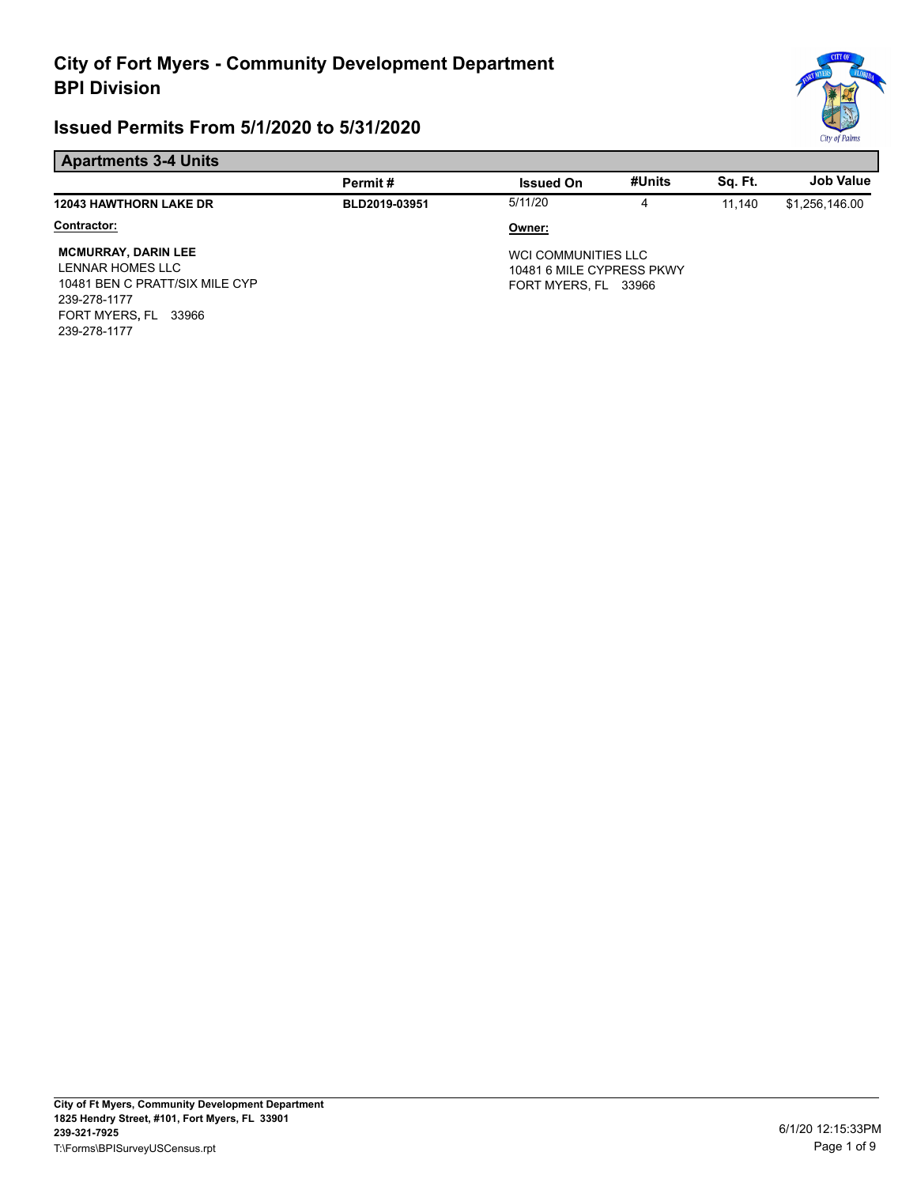# \* months of the country of the country of the country of the country of the country of the country of the country of *City*  ~ *of Palms*

#### **Apartments 3-4 Units**

|                                                                                                                                             | Permit#       | <b>Issued On</b>                                                         | #Units | Sq. Ft. | <b>Job Value</b> |
|---------------------------------------------------------------------------------------------------------------------------------------------|---------------|--------------------------------------------------------------------------|--------|---------|------------------|
| <b>12043 HAWTHORN LAKE DR</b>                                                                                                               | BLD2019-03951 | 5/11/20                                                                  | 4      | 11.140  | \$1,256,146.00   |
| Contractor:                                                                                                                                 |               | Owner:                                                                   |        |         |                  |
| <b>MCMURRAY, DARIN LEE</b><br>LENNAR HOMES LLC<br>10481 BEN C PRATT/SIX MILE CYP<br>239-278-1177<br>FORT MYERS, FL<br>33966<br>239-278-1177 |               | WCI COMMUNITIES LLC<br>10481 6 MILE CYPRESS PKWY<br>FORT MYERS. FL 33966 |        |         |                  |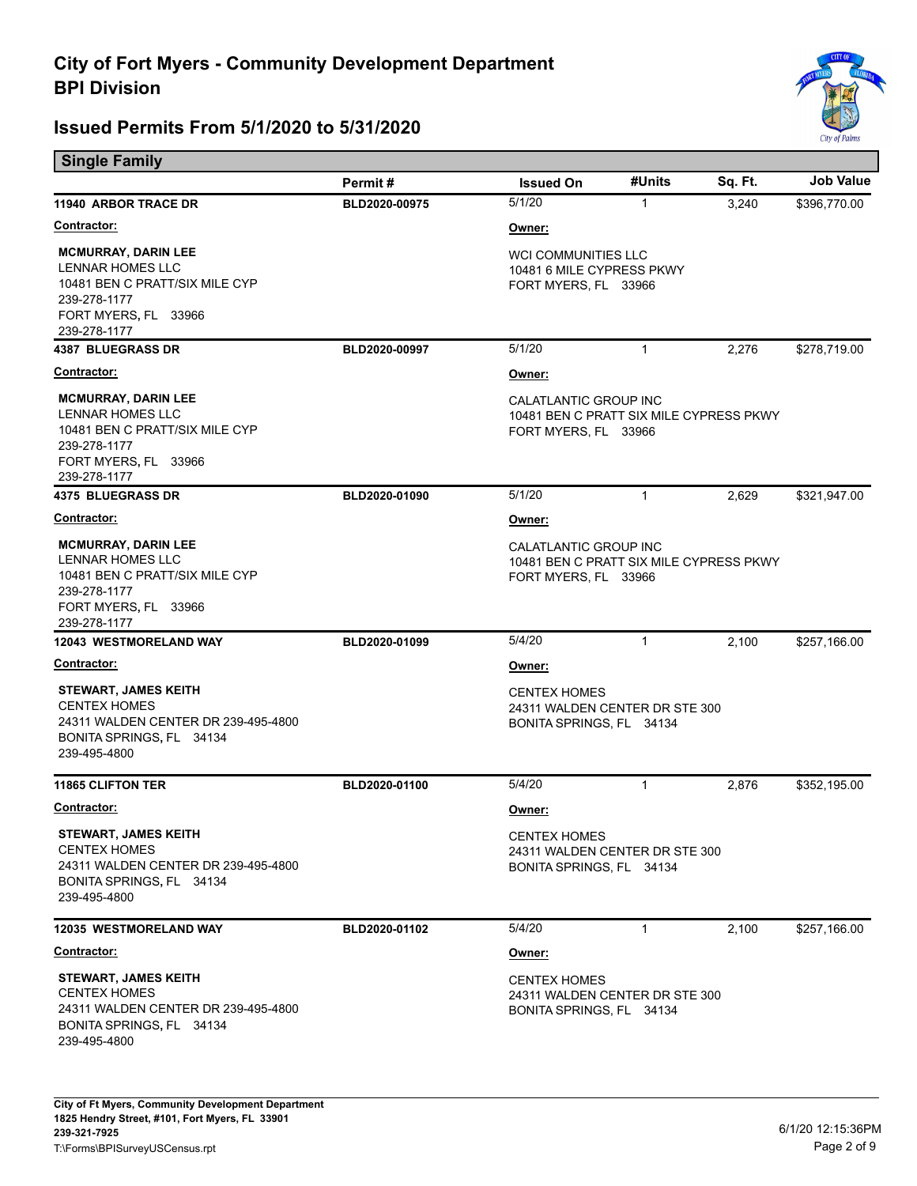

| <b>Single Family</b>                                                                                                                     |               |                                                                                                 |              |         |                  |  |
|------------------------------------------------------------------------------------------------------------------------------------------|---------------|-------------------------------------------------------------------------------------------------|--------------|---------|------------------|--|
|                                                                                                                                          | Permit#       | <b>Issued On</b>                                                                                | #Units       | Sq. Ft. | <b>Job Value</b> |  |
| 11940 ARBOR TRACE DR                                                                                                                     | BLD2020-00975 | 5/1/20                                                                                          | 1            | 3,240   | \$396,770.00     |  |
| <b>Contractor:</b>                                                                                                                       |               | Owner:                                                                                          |              |         |                  |  |
| <b>MCMURRAY, DARIN LEE</b><br>LENNAR HOMES LLC<br>10481 BEN C PRATT/SIX MILE CYP<br>239-278-1177<br>FORT MYERS, FL 33966<br>239-278-1177 |               | <b>WCI COMMUNITIES LLC</b><br>10481 6 MILE CYPRESS PKWY<br>FORT MYERS, FL 33966                 |              |         |                  |  |
| 4387 BLUEGRASS DR                                                                                                                        | BLD2020-00997 | 5/1/20                                                                                          | 1            | 2,276   | \$278,719.00     |  |
| <b>Contractor:</b>                                                                                                                       |               | Owner:                                                                                          |              |         |                  |  |
| <b>MCMURRAY, DARIN LEE</b><br>LENNAR HOMES LLC<br>10481 BEN C PRATT/SIX MILE CYP<br>239-278-1177<br>FORT MYERS, FL 33966<br>239-278-1177 |               | CALATLANTIC GROUP INC<br>10481 BEN C PRATT SIX MILE CYPRESS PKWY<br>FORT MYERS, FL 33966        |              |         |                  |  |
| <b>4375 BLUEGRASS DR</b>                                                                                                                 | BLD2020-01090 | 5/1/20                                                                                          | $\mathbf{1}$ | 2,629   | \$321,947.00     |  |
| Contractor:                                                                                                                              |               | Owner:                                                                                          |              |         |                  |  |
| <b>MCMURRAY, DARIN LEE</b><br>LENNAR HOMES LLC<br>10481 BEN C PRATT/SIX MILE CYP<br>239-278-1177<br>FORT MYERS, FL 33966<br>239-278-1177 |               | <b>CALATLANTIC GROUP INC</b><br>10481 BEN C PRATT SIX MILE CYPRESS PKWY<br>FORT MYERS, FL 33966 |              |         |                  |  |
| <b>12043 WESTMORELAND WAY</b>                                                                                                            | BLD2020-01099 | 5/4/20                                                                                          | 1            | 2,100   | \$257,166.00     |  |
| <b>Contractor:</b>                                                                                                                       |               | Owner:                                                                                          |              |         |                  |  |
| <b>STEWART, JAMES KEITH</b><br><b>CENTEX HOMES</b><br>24311 WALDEN CENTER DR 239-495-4800<br>BONITA SPRINGS, FL 34134<br>239-495-4800    |               | <b>CENTEX HOMES</b><br>24311 WALDEN CENTER DR STE 300<br>BONITA SPRINGS, FL 34134               |              |         |                  |  |
| <b>11865 CLIFTON TER</b>                                                                                                                 | BLD2020-01100 | 5/4/20                                                                                          | 1            | 2,876   | \$352,195.00     |  |
| <b>Contractor:</b>                                                                                                                       |               | Owner:                                                                                          |              |         |                  |  |
| <b>STEWART, JAMES KEITH</b><br><b>CENTEX HOMES</b><br>24311 WALDEN CENTER DR 239-495-4800<br>BONITA SPRINGS, FL 34134<br>239-495-4800    |               | <b>CENTEX HOMES</b><br>24311 WALDEN CENTER DR STE 300<br>BONITA SPRINGS, FL 34134               |              |         |                  |  |
| 12035 WESTMORELAND WAY                                                                                                                   | BLD2020-01102 | 5/4/20                                                                                          | 1            | 2,100   | \$257,166.00     |  |
| Contractor:                                                                                                                              |               | Owner:                                                                                          |              |         |                  |  |
| <b>STEWART, JAMES KEITH</b><br><b>CENTEX HOMES</b><br>24311 WALDEN CENTER DR 239-495-4800<br>BONITA SPRINGS, FL 34134<br>239-495-4800    |               | <b>CENTEX HOMES</b><br>24311 WALDEN CENTER DR STE 300<br>BONITA SPRINGS, FL 34134               |              |         |                  |  |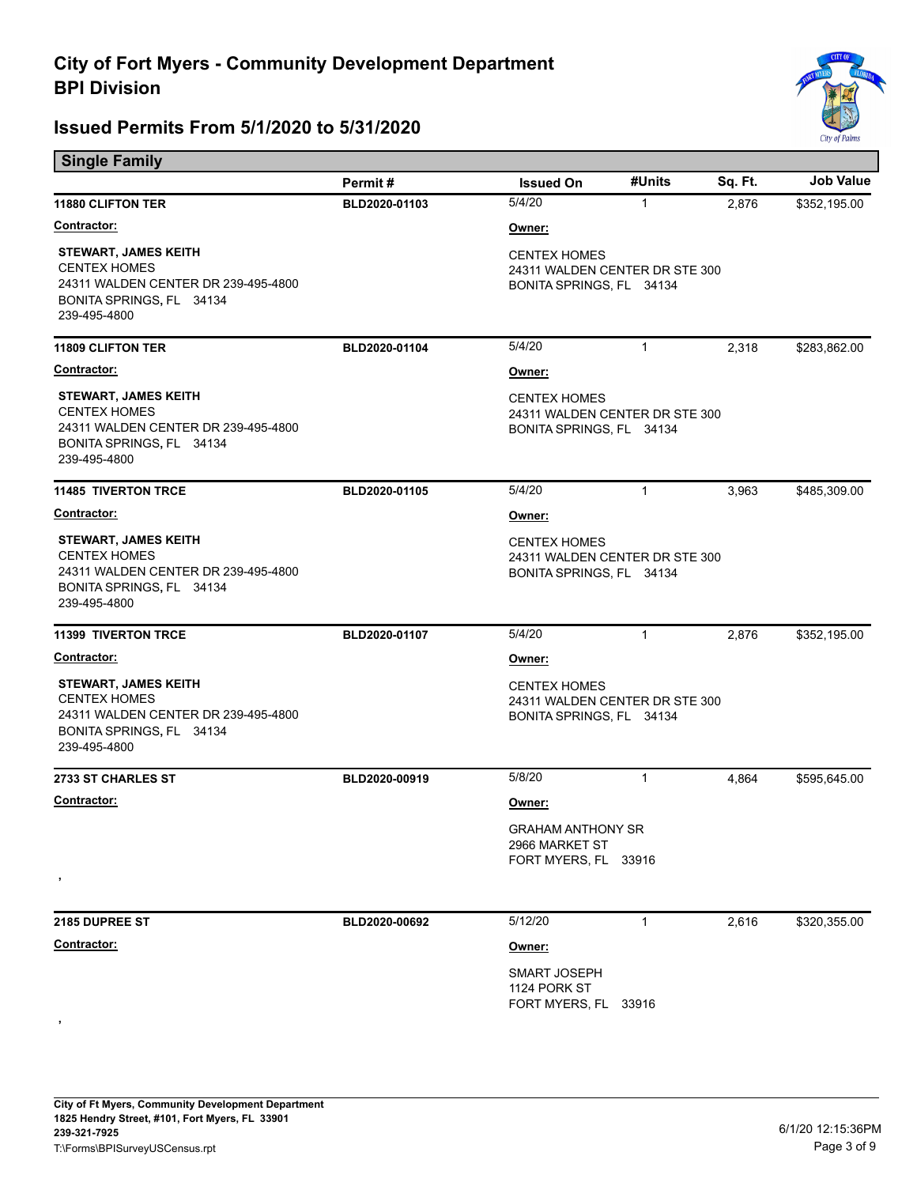

| <b>Single Family</b>                                                                                                                  |               |                                                                                   |              |         |                  |  |
|---------------------------------------------------------------------------------------------------------------------------------------|---------------|-----------------------------------------------------------------------------------|--------------|---------|------------------|--|
|                                                                                                                                       | Permit#       | <b>Issued On</b>                                                                  | #Units       | Sq. Ft. | <b>Job Value</b> |  |
| <b>11880 CLIFTON TER</b>                                                                                                              | BLD2020-01103 | 5/4/20                                                                            | $\mathbf{1}$ | 2,876   | \$352,195.00     |  |
| <u>Contractor:</u>                                                                                                                    |               | <u>Owner:</u>                                                                     |              |         |                  |  |
| <b>STEWART, JAMES KEITH</b><br><b>CENTEX HOMES</b><br>24311 WALDEN CENTER DR 239-495-4800<br>BONITA SPRINGS, FL 34134<br>239-495-4800 |               | <b>CENTEX HOMES</b><br>24311 WALDEN CENTER DR STE 300<br>BONITA SPRINGS, FL 34134 |              |         |                  |  |
| <b>11809 CLIFTON TER</b>                                                                                                              | BLD2020-01104 | 5/4/20                                                                            | $\mathbf{1}$ | 2,318   | \$283,862.00     |  |
| <u>Contractor:</u>                                                                                                                    |               | Owner:                                                                            |              |         |                  |  |
| <b>STEWART, JAMES KEITH</b><br><b>CENTEX HOMES</b><br>24311 WALDEN CENTER DR 239-495-4800<br>BONITA SPRINGS, FL 34134<br>239-495-4800 |               | <b>CENTEX HOMES</b><br>24311 WALDEN CENTER DR STE 300<br>BONITA SPRINGS, FL 34134 |              |         |                  |  |
| <b>11485 TIVERTON TRCE</b>                                                                                                            | BLD2020-01105 | 5/4/20                                                                            | 1            | 3,963   | \$485,309.00     |  |
| <b>Contractor:</b>                                                                                                                    |               | Owner:                                                                            |              |         |                  |  |
| <b>STEWART, JAMES KEITH</b><br><b>CENTEX HOMES</b><br>24311 WALDEN CENTER DR 239-495-4800<br>BONITA SPRINGS, FL 34134<br>239-495-4800 |               | <b>CENTEX HOMES</b><br>24311 WALDEN CENTER DR STE 300<br>BONITA SPRINGS, FL 34134 |              |         |                  |  |
| <b>11399 TIVERTON TRCE</b>                                                                                                            | BLD2020-01107 | 5/4/20                                                                            | $\mathbf{1}$ | 2,876   | \$352,195.00     |  |
| <u>Contractor:</u>                                                                                                                    |               | Owner:                                                                            |              |         |                  |  |
| <b>STEWART, JAMES KEITH</b><br><b>CENTEX HOMES</b><br>24311 WALDEN CENTER DR 239-495-4800<br>BONITA SPRINGS, FL 34134<br>239-495-4800 |               | <b>CENTEX HOMES</b><br>24311 WALDEN CENTER DR STE 300<br>BONITA SPRINGS, FL 34134 |              |         |                  |  |
| <b>2733 ST CHARLES ST</b>                                                                                                             | BLD2020-00919 | 5/8/20                                                                            | 1            | 4,864   | \$595,645.00     |  |
| <b>Contractor:</b>                                                                                                                    |               | Owner:                                                                            |              |         |                  |  |
| ,                                                                                                                                     |               | <b>GRAHAM ANTHONY SR</b><br>2966 MARKET ST<br>FORT MYERS, FL 33916                |              |         |                  |  |
| <b>2185 DUPREE ST</b>                                                                                                                 | BLD2020-00692 | 5/12/20                                                                           | $\mathbf{1}$ | 2,616   | \$320,355.00     |  |
| <b>Contractor:</b>                                                                                                                    |               | Owner:                                                                            |              |         |                  |  |
|                                                                                                                                       |               | <b>SMART JOSEPH</b><br>1124 PORK ST<br>FORT MYERS, FL 33916                       |              |         |                  |  |

**,** 

Е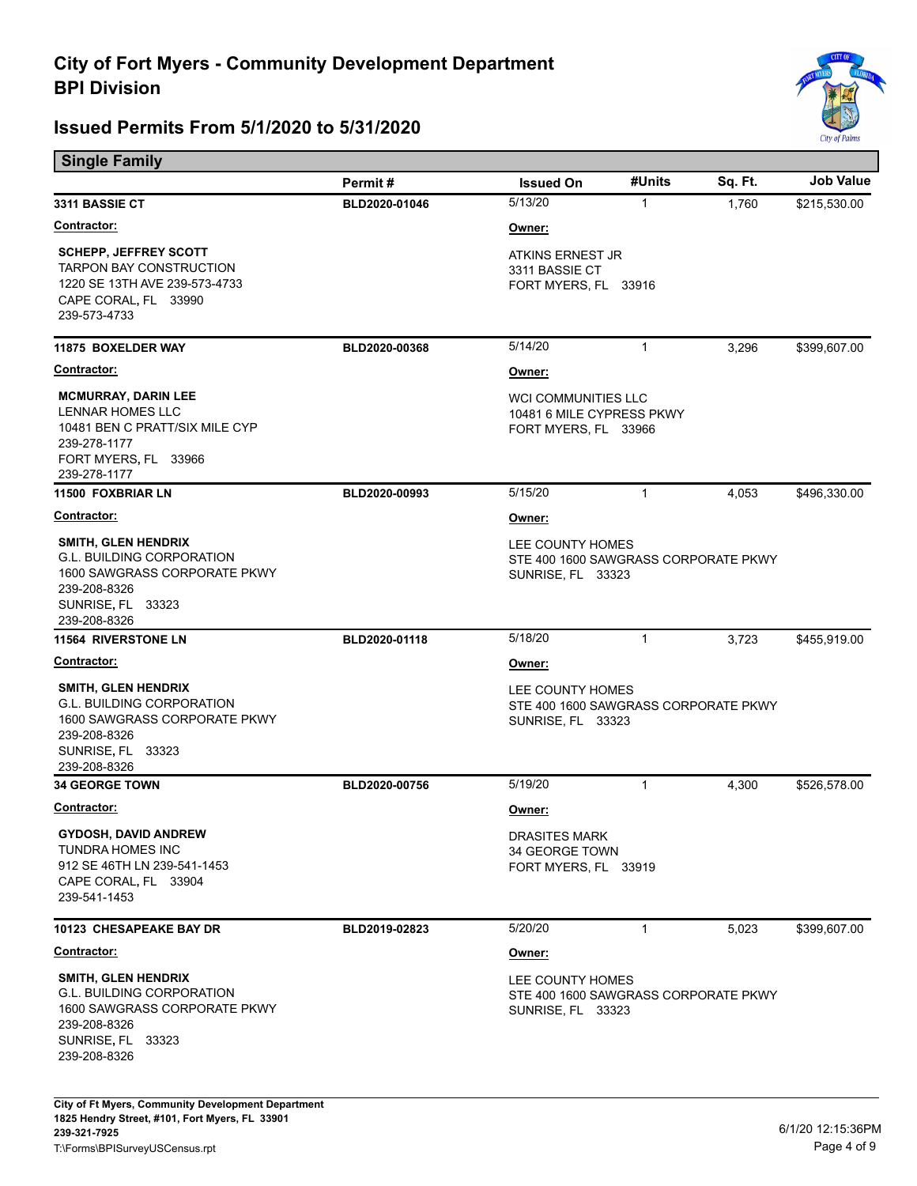

| <b>Single Family</b>                                                                                                                                |               |                                                                                      |              |         |                  |  |
|-----------------------------------------------------------------------------------------------------------------------------------------------------|---------------|--------------------------------------------------------------------------------------|--------------|---------|------------------|--|
|                                                                                                                                                     | Permit#       | <b>Issued On</b>                                                                     | #Units       | Sq. Ft. | <b>Job Value</b> |  |
| <b>3311 BASSIE CT</b>                                                                                                                               | BLD2020-01046 | 5/13/20                                                                              | $\mathbf{1}$ | 1,760   | \$215,530.00     |  |
| <b>Contractor:</b>                                                                                                                                  |               | <u>Owner:</u>                                                                        |              |         |                  |  |
| <b>SCHEPP, JEFFREY SCOTT</b><br>TARPON BAY CONSTRUCTION<br>1220 SE 13TH AVE 239-573-4733<br>CAPE CORAL, FL 33990<br>239-573-4733                    |               | ATKINS ERNEST JR<br>3311 BASSIE CT<br>FORT MYERS, FL 33916                           |              |         |                  |  |
| 11875 BOXELDER WAY                                                                                                                                  | BLD2020-00368 | 5/14/20                                                                              | $\mathbf{1}$ | 3,296   | \$399,607.00     |  |
| Contractor:                                                                                                                                         |               | Owner:                                                                               |              |         |                  |  |
| <b>MCMURRAY, DARIN LEE</b><br>LENNAR HOMES LLC<br>10481 BEN C PRATT/SIX MILE CYP<br>239-278-1177<br>FORT MYERS, FL 33966<br>239-278-1177            |               | <b>WCI COMMUNITIES LLC</b><br>10481 6 MILE CYPRESS PKWY<br>FORT MYERS, FL 33966      |              |         |                  |  |
| <b>11500 FOXBRIAR LN</b>                                                                                                                            | BLD2020-00993 | 5/15/20                                                                              | $\mathbf{1}$ | 4,053   | \$496,330.00     |  |
| <b>Contractor:</b>                                                                                                                                  |               | Owner:                                                                               |              |         |                  |  |
| <b>SMITH, GLEN HENDRIX</b><br><b>G.L. BUILDING CORPORATION</b><br>1600 SAWGRASS CORPORATE PKWY<br>239-208-8326<br>SUNRISE, FL 33323<br>239-208-8326 |               | LEE COUNTY HOMES<br>STE 400 1600 SAWGRASS CORPORATE PKWY<br>SUNRISE, FL 33323        |              |         |                  |  |
| <b>11564 RIVERSTONE LN</b>                                                                                                                          | BLD2020-01118 | 5/18/20                                                                              | 1            | 3,723   | \$455,919.00     |  |
| <u>Contractor:</u>                                                                                                                                  |               | Owner:                                                                               |              |         |                  |  |
| <b>SMITH, GLEN HENDRIX</b><br><b>G.L. BUILDING CORPORATION</b><br>1600 SAWGRASS CORPORATE PKWY<br>239-208-8326<br>SUNRISE, FL 33323<br>239-208-8326 |               | LEE COUNTY HOMES<br>STE 400 1600 SAWGRASS CORPORATE PKWY<br>SUNRISE, FL 33323        |              |         |                  |  |
| <b>34 GEORGE TOWN</b>                                                                                                                               | BLD2020-00756 | 5/19/20                                                                              | 1            | 4,300   | \$526,578.00     |  |
| <u>Contractor:</u>                                                                                                                                  |               | Owner:                                                                               |              |         |                  |  |
| <b>GYDOSH, DAVID ANDREW</b><br><b>TUNDRA HOMES INC</b><br>912 SE 46TH LN 239-541-1453<br>CAPE CORAL, FL 33904<br>239-541-1453                       |               | <b>DRASITES MARK</b><br>34 GEORGE TOWN<br>FORT MYERS, FL 33919                       |              |         |                  |  |
| 10123 CHESAPEAKE BAY DR                                                                                                                             | BLD2019-02823 | 5/20/20                                                                              | 1            | 5,023   | \$399,607.00     |  |
| <b>Contractor:</b>                                                                                                                                  |               | Owner:                                                                               |              |         |                  |  |
| <b>SMITH, GLEN HENDRIX</b><br><b>G.L. BUILDING CORPORATION</b><br>1600 SAWGRASS CORPORATE PKWY<br>239-208-8326<br>SUNRISE, FL 33323<br>239-208-8326 |               | LEE COUNTY HOMES<br>STE 400 1600 SAWGRASS CORPORATE PKWY<br><b>SUNRISE, FL 33323</b> |              |         |                  |  |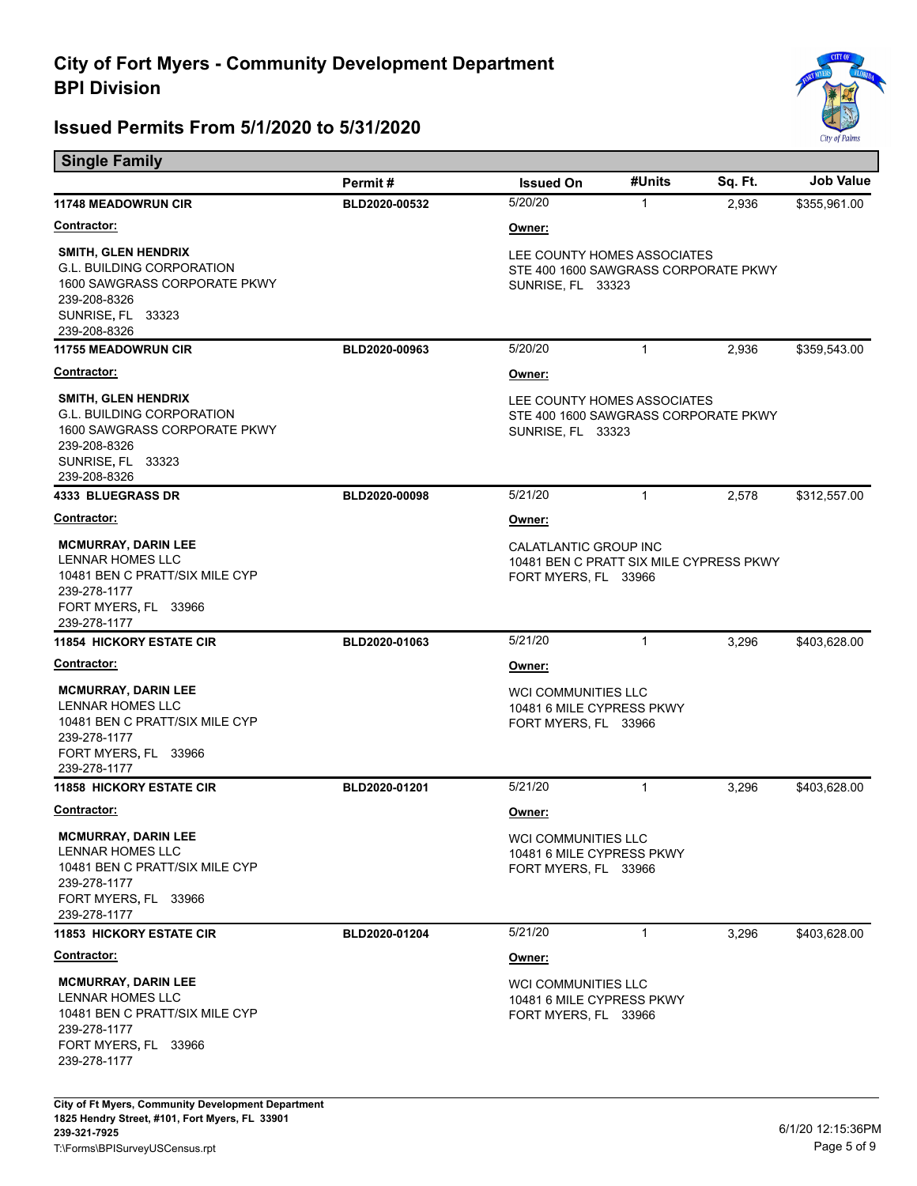

| <b>Single Family</b>                                                                                                                                |               |                                                                                                 |              |         |                  |  |
|-----------------------------------------------------------------------------------------------------------------------------------------------------|---------------|-------------------------------------------------------------------------------------------------|--------------|---------|------------------|--|
|                                                                                                                                                     | Permit#       | <b>Issued On</b>                                                                                | #Units       | Sq. Ft. | <b>Job Value</b> |  |
| <b>11748 MEADOWRUN CIR</b>                                                                                                                          | BLD2020-00532 | 5/20/20                                                                                         | $\mathbf{1}$ | 2.936   | \$355,961.00     |  |
| <u>Contractor:</u>                                                                                                                                  |               | Owner:                                                                                          |              |         |                  |  |
| <b>SMITH, GLEN HENDRIX</b><br><b>G.L. BUILDING CORPORATION</b><br>1600 SAWGRASS CORPORATE PKWY<br>239-208-8326<br>SUNRISE, FL 33323<br>239-208-8326 |               | LEE COUNTY HOMES ASSOCIATES<br>STE 400 1600 SAWGRASS CORPORATE PKWY<br><b>SUNRISE, FL 33323</b> |              |         |                  |  |
| <b>11755 MEADOWRUN CIR</b>                                                                                                                          | BLD2020-00963 | 5/20/20                                                                                         | $\mathbf{1}$ | 2,936   | \$359,543.00     |  |
| <u>Contractor:</u>                                                                                                                                  |               | Owner:                                                                                          |              |         |                  |  |
| <b>SMITH, GLEN HENDRIX</b><br><b>G.L. BUILDING CORPORATION</b><br>1600 SAWGRASS CORPORATE PKWY<br>239-208-8326<br>SUNRISE, FL 33323<br>239-208-8326 |               | LEE COUNTY HOMES ASSOCIATES<br>STE 400 1600 SAWGRASS CORPORATE PKWY<br><b>SUNRISE, FL 33323</b> |              |         |                  |  |
| <b>4333 BLUEGRASS DR</b>                                                                                                                            | BLD2020-00098 | 5/21/20                                                                                         | $\mathbf{1}$ | 2,578   | \$312,557.00     |  |
| Contractor:                                                                                                                                         |               | Owner:                                                                                          |              |         |                  |  |
| <b>MCMURRAY, DARIN LEE</b><br>LENNAR HOMES LLC<br>10481 BEN C PRATT/SIX MILE CYP<br>239-278-1177<br>FORT MYERS, FL 33966<br>239-278-1177            |               | CALATLANTIC GROUP INC<br>10481 BEN C PRATT SIX MILE CYPRESS PKWY<br>FORT MYERS, FL 33966        |              |         |                  |  |
| <b>11854 HICKORY ESTATE CIR</b>                                                                                                                     | BLD2020-01063 | 5/21/20                                                                                         | $\mathbf{1}$ | 3,296   | \$403,628.00     |  |
| <u>Contractor:</u>                                                                                                                                  |               | Owner:                                                                                          |              |         |                  |  |
| <b>MCMURRAY, DARIN LEE</b><br>LENNAR HOMES LLC<br>10481 BEN C PRATT/SIX MILE CYP<br>239-278-1177<br>FORT MYERS, FL 33966<br>239-278-1177            |               | WCI COMMUNITIES LLC<br>10481 6 MILE CYPRESS PKWY<br>FORT MYERS, FL 33966                        |              |         |                  |  |
| <b>11858 HICKORY ESTATE CIR</b>                                                                                                                     | BLD2020-01201 | 5/21/20                                                                                         | $\mathbf{1}$ | 3,296   | \$403,628.00     |  |
| <b>Contractor:</b>                                                                                                                                  |               | Owner:                                                                                          |              |         |                  |  |
| <b>MCMURRAY, DARIN LEE</b><br>LENNAR HOMES LLC<br>10481 BEN C PRATT/SIX MILE CYP<br>239-278-1177<br>FORT MYERS, FL 33966<br>239-278-1177            |               | WCI COMMUNITIES LLC<br>10481 6 MILE CYPRESS PKWY<br>FORT MYERS, FL 33966                        |              |         |                  |  |
| <b>11853 HICKORY ESTATE CIR</b>                                                                                                                     | BLD2020-01204 | 5/21/20                                                                                         | $\mathbf{1}$ | 3,296   | \$403,628.00     |  |
| <u>Contractor:</u>                                                                                                                                  |               | Owner:                                                                                          |              |         |                  |  |
| <b>MCMURRAY, DARIN LEE</b><br><b>LENNAR HOMES LLC</b><br>10481 BEN C PRATT/SIX MILE CYP<br>239-278-1177<br>FORT MYERS, FL 33966<br>239-278-1177     |               | WCI COMMUNITIES LLC<br>10481 6 MILE CYPRESS PKWY<br>FORT MYERS, FL 33966                        |              |         |                  |  |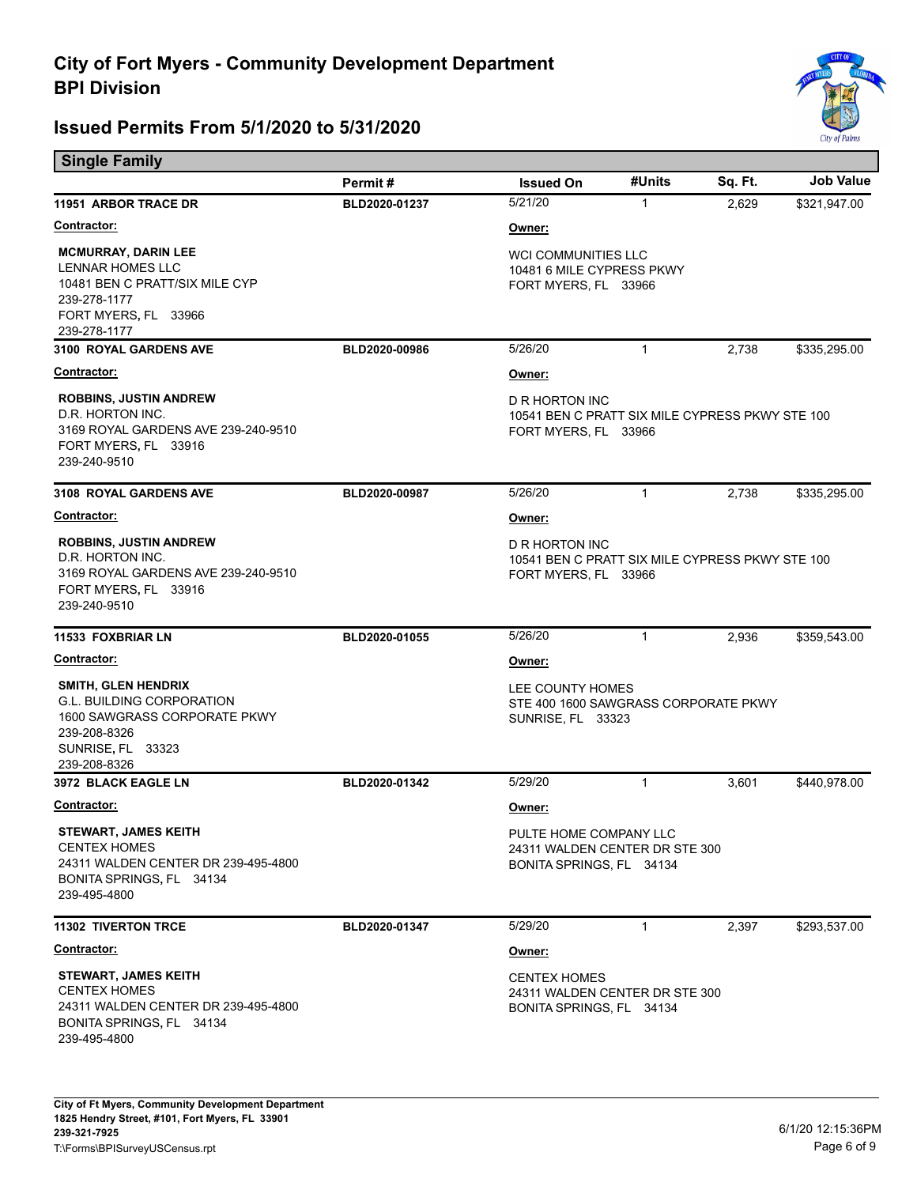

| <b>Single Family</b>                                                                                                                                |               |                                                                                           |              |         |                  |  |
|-----------------------------------------------------------------------------------------------------------------------------------------------------|---------------|-------------------------------------------------------------------------------------------|--------------|---------|------------------|--|
|                                                                                                                                                     | Permit#       | <b>Issued On</b>                                                                          | #Units       | Sq. Ft. | <b>Job Value</b> |  |
| <b>11951 ARBOR TRACE DR</b>                                                                                                                         | BLD2020-01237 | 5/21/20                                                                                   | $\mathbf{1}$ | 2,629   | \$321,947.00     |  |
| <b>Contractor:</b>                                                                                                                                  |               | Owner:                                                                                    |              |         |                  |  |
| <b>MCMURRAY, DARIN LEE</b><br><b>LENNAR HOMES LLC</b><br>10481 BEN C PRATT/SIX MILE CYP<br>239-278-1177<br>FORT MYERS, FL 33966<br>239-278-1177     |               | <b>WCI COMMUNITIES LLC</b><br>10481 6 MILE CYPRESS PKWY<br>FORT MYERS, FL 33966           |              |         |                  |  |
| 3100 ROYAL GARDENS AVE                                                                                                                              | BLD2020-00986 | 5/26/20                                                                                   | $\mathbf{1}$ | 2,738   | \$335,295.00     |  |
| Contractor:                                                                                                                                         |               | Owner:                                                                                    |              |         |                  |  |
| <b>ROBBINS, JUSTIN ANDREW</b><br>D.R. HORTON INC.<br>3169 ROYAL GARDENS AVE 239-240-9510<br>FORT MYERS, FL 33916<br>239-240-9510                    |               | D R HORTON INC<br>10541 BEN C PRATT SIX MILE CYPRESS PKWY STE 100<br>FORT MYERS, FL 33966 |              |         |                  |  |
| 3108 ROYAL GARDENS AVE                                                                                                                              | BLD2020-00987 | 5/26/20                                                                                   | $\mathbf{1}$ | 2,738   | \$335,295.00     |  |
| Contractor:                                                                                                                                         |               | Owner:                                                                                    |              |         |                  |  |
| <b>ROBBINS, JUSTIN ANDREW</b><br>D.R. HORTON INC.<br>3169 ROYAL GARDENS AVE 239-240-9510<br>FORT MYERS, FL 33916<br>239-240-9510                    |               | D R HORTON INC<br>10541 BEN C PRATT SIX MILE CYPRESS PKWY STE 100<br>FORT MYERS, FL 33966 |              |         |                  |  |
| 11533 FOXBRIAR LN                                                                                                                                   | BLD2020-01055 | 5/26/20                                                                                   | $\mathbf{1}$ | 2,936   | \$359,543.00     |  |
| <b>Contractor:</b>                                                                                                                                  |               | Owner:                                                                                    |              |         |                  |  |
| <b>SMITH, GLEN HENDRIX</b><br><b>G.L. BUILDING CORPORATION</b><br>1600 SAWGRASS CORPORATE PKWY<br>239-208-8326<br>SUNRISE, FL 33323<br>239-208-8326 |               | LEE COUNTY HOMES<br>STE 400 1600 SAWGRASS CORPORATE PKWY<br>SUNRISE, FL 33323             |              |         |                  |  |
| 3972 BLACK EAGLE LN                                                                                                                                 | BLD2020-01342 | 5/29/20                                                                                   | $\mathbf{1}$ | 3,601   | \$440.978.00     |  |
| Contractor:                                                                                                                                         |               | Owner:                                                                                    |              |         |                  |  |
| <b>STEWART, JAMES KEITH</b><br><b>CENTEX HOMES</b><br>24311 WALDEN CENTER DR 239-495-4800<br>BONITA SPRINGS, FL 34134<br>239-495-4800               |               | PULTE HOME COMPANY LLC<br>24311 WALDEN CENTER DR STE 300<br>BONITA SPRINGS, FL 34134      |              |         |                  |  |
| <b>11302 TIVERTON TRCE</b>                                                                                                                          | BLD2020-01347 | 5/29/20                                                                                   | $\mathbf{1}$ | 2,397   | \$293,537.00     |  |
| <b>Contractor:</b>                                                                                                                                  |               | Owner:                                                                                    |              |         |                  |  |
| <b>STEWART, JAMES KEITH</b><br><b>CENTEX HOMES</b><br>24311 WALDEN CENTER DR 239-495-4800<br>BONITA SPRINGS, FL 34134<br>239-495-4800               |               | <b>CENTEX HOMES</b><br>24311 WALDEN CENTER DR STE 300<br>BONITA SPRINGS, FL 34134         |              |         |                  |  |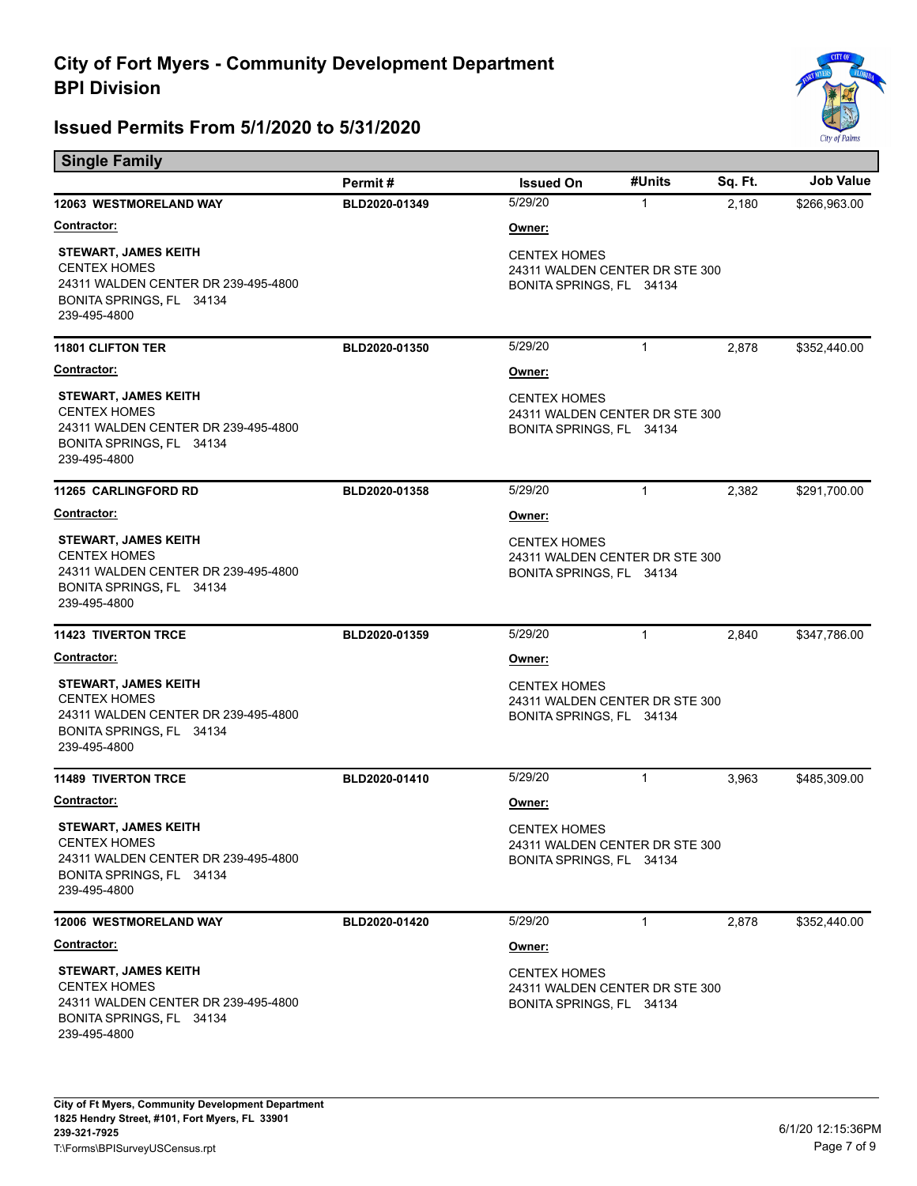

| <b>Single Family</b>                                                                                                                  |               |                                                                                   |              |         |                  |  |
|---------------------------------------------------------------------------------------------------------------------------------------|---------------|-----------------------------------------------------------------------------------|--------------|---------|------------------|--|
|                                                                                                                                       | Permit#       | <b>Issued On</b>                                                                  | #Units       | Sq. Ft. | <b>Job Value</b> |  |
| <b>12063 WESTMORELAND WAY</b>                                                                                                         | BLD2020-01349 | 5/29/20                                                                           | $\mathbf{1}$ | 2,180   | \$266,963.00     |  |
| <b>Contractor:</b>                                                                                                                    |               | Owner:                                                                            |              |         |                  |  |
| <b>STEWART, JAMES KEITH</b><br><b>CENTEX HOMES</b><br>24311 WALDEN CENTER DR 239-495-4800<br>BONITA SPRINGS, FL 34134<br>239-495-4800 |               | <b>CENTEX HOMES</b><br>24311 WALDEN CENTER DR STE 300<br>BONITA SPRINGS, FL 34134 |              |         |                  |  |
| <b>11801 CLIFTON TER</b>                                                                                                              | BLD2020-01350 | 5/29/20                                                                           | $\mathbf{1}$ | 2,878   | \$352,440.00     |  |
| Contractor:                                                                                                                           |               | Owner:                                                                            |              |         |                  |  |
| <b>STEWART, JAMES KEITH</b><br><b>CENTEX HOMES</b><br>24311 WALDEN CENTER DR 239-495-4800<br>BONITA SPRINGS, FL 34134<br>239-495-4800 |               | <b>CENTEX HOMES</b><br>24311 WALDEN CENTER DR STE 300<br>BONITA SPRINGS, FL 34134 |              |         |                  |  |
| <b>11265 CARLINGFORD RD</b>                                                                                                           | BLD2020-01358 | 5/29/20                                                                           | $\mathbf{1}$ | 2,382   | \$291,700.00     |  |
| Contractor:                                                                                                                           |               | Owner:                                                                            |              |         |                  |  |
| <b>STEWART, JAMES KEITH</b><br><b>CENTEX HOMES</b><br>24311 WALDEN CENTER DR 239-495-4800<br>BONITA SPRINGS, FL 34134<br>239-495-4800 |               | <b>CENTEX HOMES</b><br>24311 WALDEN CENTER DR STE 300<br>BONITA SPRINGS, FL 34134 |              |         |                  |  |
| <b>11423 TIVERTON TRCE</b>                                                                                                            | BLD2020-01359 | 5/29/20                                                                           | $\mathbf{1}$ | 2,840   | \$347,786.00     |  |
| Contractor:                                                                                                                           |               | Owner:                                                                            |              |         |                  |  |
| <b>STEWART, JAMES KEITH</b><br><b>CENTEX HOMES</b><br>24311 WALDEN CENTER DR 239-495-4800<br>BONITA SPRINGS, FL 34134<br>239-495-4800 |               | <b>CENTEX HOMES</b><br>24311 WALDEN CENTER DR STE 300<br>BONITA SPRINGS, FL 34134 |              |         |                  |  |
| <b>11489 TIVERTON TRCE</b>                                                                                                            | BLD2020-01410 | 5/29/20                                                                           | $\mathbf{1}$ | 3,963   | \$485,309.00     |  |
| Contractor:                                                                                                                           |               | Owner:                                                                            |              |         |                  |  |
| <b>STEWART, JAMES KEITH</b><br><b>CENTEX HOMES</b><br>24311 WALDEN CENTER DR 239-495-4800<br>BONITA SPRINGS, FL 34134<br>239-495-4800 |               | <b>CENTEX HOMES</b><br>24311 WALDEN CENTER DR STE 300<br>BONITA SPRINGS, FL 34134 |              |         |                  |  |
| 12006 WESTMORELAND WAY                                                                                                                | BLD2020-01420 | 5/29/20                                                                           | $\mathbf{1}$ | 2,878   | \$352,440.00     |  |
| <u>Contractor:</u>                                                                                                                    |               | Owner:                                                                            |              |         |                  |  |
| <b>STEWART, JAMES KEITH</b><br><b>CENTEX HOMES</b><br>24311 WALDEN CENTER DR 239-495-4800<br>BONITA SPRINGS, FL 34134<br>239-495-4800 |               | <b>CENTEX HOMES</b><br>24311 WALDEN CENTER DR STE 300<br>BONITA SPRINGS, FL 34134 |              |         |                  |  |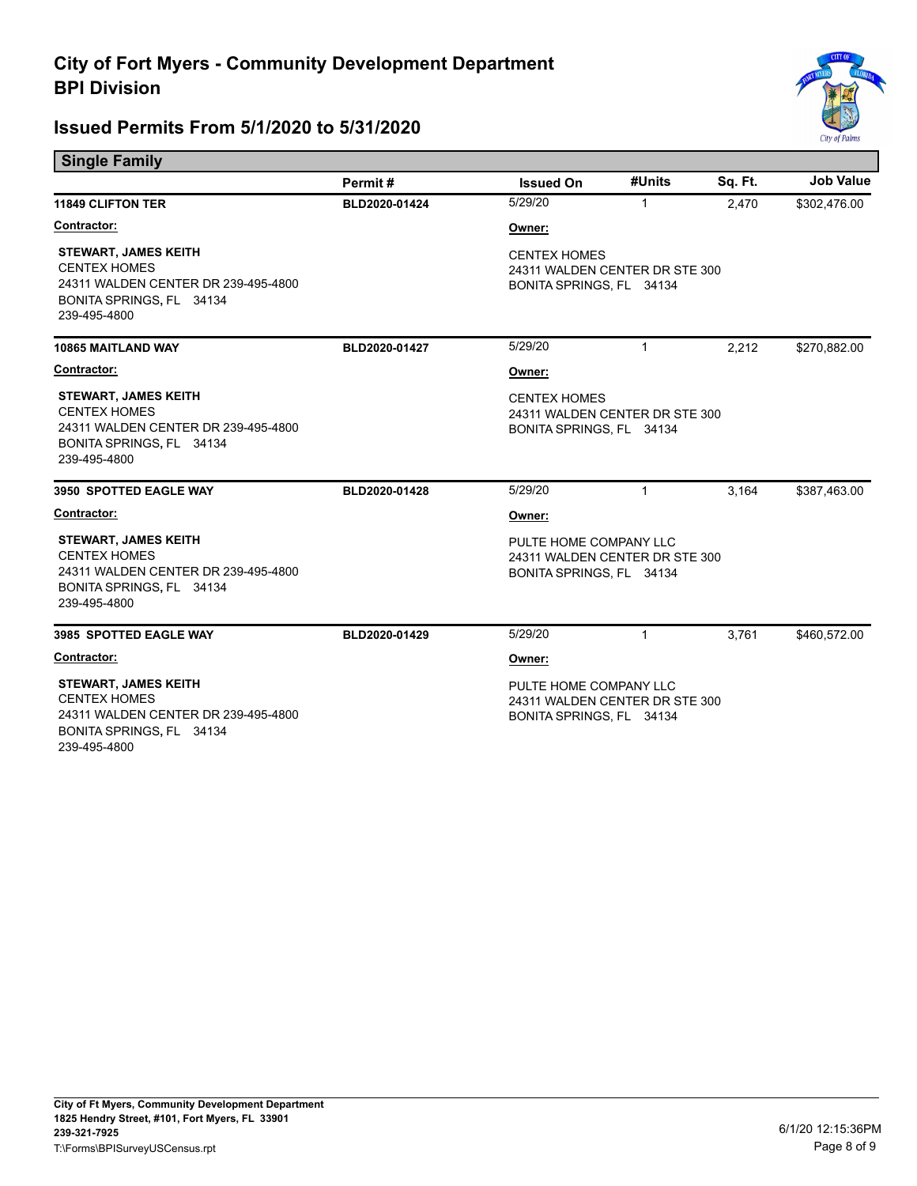

| <b>Single Family</b>                                                                                                                  |               |                                                                                      |              |         |                  |  |
|---------------------------------------------------------------------------------------------------------------------------------------|---------------|--------------------------------------------------------------------------------------|--------------|---------|------------------|--|
|                                                                                                                                       | Permit#       | <b>Issued On</b>                                                                     | #Units       | Sq. Ft. | <b>Job Value</b> |  |
| <b>11849 CLIFTON TER</b>                                                                                                              | BLD2020-01424 | 5/29/20                                                                              | $\mathbf{1}$ | 2.470   | \$302,476.00     |  |
| Contractor:                                                                                                                           |               | Owner:                                                                               |              |         |                  |  |
| <b>STEWART, JAMES KEITH</b><br><b>CENTEX HOMES</b><br>24311 WALDEN CENTER DR 239-495-4800<br>BONITA SPRINGS, FL 34134<br>239-495-4800 |               | <b>CENTEX HOMES</b><br>24311 WALDEN CENTER DR STE 300<br>BONITA SPRINGS, FL 34134    |              |         |                  |  |
| <b>10865 MAITLAND WAY</b>                                                                                                             | BLD2020-01427 | 5/29/20                                                                              | $\mathbf{1}$ | 2,212   | \$270,882.00     |  |
| Contractor:                                                                                                                           |               | Owner:                                                                               |              |         |                  |  |
| <b>STEWART, JAMES KEITH</b><br><b>CENTEX HOMES</b><br>24311 WALDEN CENTER DR 239-495-4800<br>BONITA SPRINGS, FL 34134<br>239-495-4800 |               | <b>CENTEX HOMES</b><br>24311 WALDEN CENTER DR STE 300<br>BONITA SPRINGS, FL 34134    |              |         |                  |  |
| 3950 SPOTTED EAGLE WAY                                                                                                                | BLD2020-01428 | 5/29/20                                                                              | $\mathbf{1}$ | 3.164   | \$387,463.00     |  |
| Contractor:                                                                                                                           |               | Owner:                                                                               |              |         |                  |  |
| <b>STEWART, JAMES KEITH</b><br><b>CENTEX HOMES</b><br>24311 WALDEN CENTER DR 239-495-4800<br>BONITA SPRINGS, FL 34134<br>239-495-4800 |               | PULTE HOME COMPANY LLC<br>24311 WALDEN CENTER DR STE 300<br>BONITA SPRINGS, FL 34134 |              |         |                  |  |
| 3985 SPOTTED EAGLE WAY                                                                                                                | BLD2020-01429 | 5/29/20                                                                              | $\mathbf{1}$ | 3,761   | \$460,572.00     |  |
| Contractor:                                                                                                                           |               | Owner:                                                                               |              |         |                  |  |
| <b>STEWART, JAMES KEITH</b><br><b>CENTEX HOMES</b><br>24311 WALDEN CENTER DR 239-495-4800<br>BONITA SPRINGS, FL 34134<br>239-495-4800 |               | PULTE HOME COMPANY LLC<br>24311 WALDEN CENTER DR STE 300<br>BONITA SPRINGS, FL 34134 |              |         |                  |  |